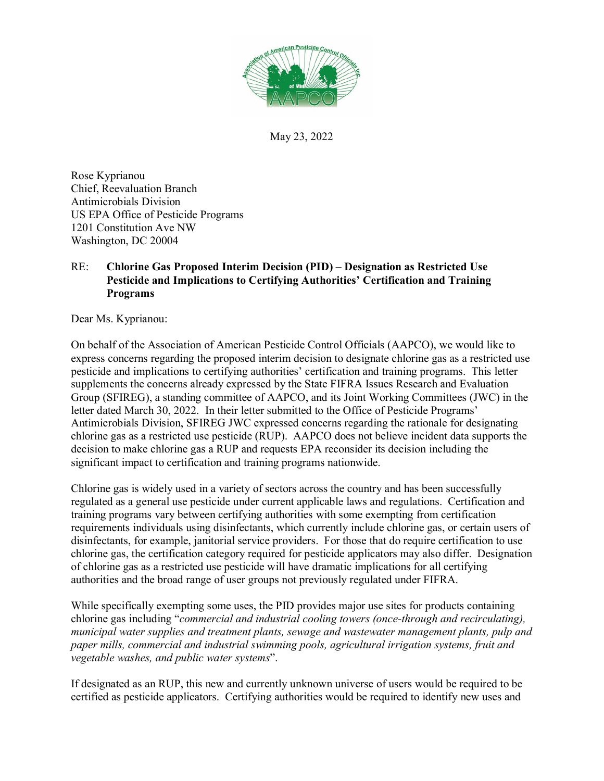

May 23, 2022

Rose Kyprianou Chief, Reevaluation Branch Antimicrobials Division US EPA Office of Pesticide Programs 1201 Constitution Ave NW Washington, DC 20004

## RE: **Chlorine Gas Proposed Interim Decision (PID) – Designation as Restricted Use Pesticide and Implications to Certifying Authorities' Certification and Training Programs**

Dear Ms. Kyprianou:

On behalf of the Association of American Pesticide Control Officials (AAPCO), we would like to express concerns regarding the proposed interim decision to designate chlorine gas as a restricted use pesticide and implications to certifying authorities' certification and training programs. This letter supplements the concerns already expressed by the State FIFRA Issues Research and Evaluation Group (SFIREG), a standing committee of AAPCO, and its Joint Working Committees (JWC) in the letter dated March 30, 2022. In their letter submitted to the Office of Pesticide Programs' Antimicrobials Division, SFIREG JWC expressed concerns regarding the rationale for designating chlorine gas as a restricted use pesticide (RUP). AAPCO does not believe incident data supports the decision to make chlorine gas a RUP and requests EPA reconsider its decision including the significant impact to certification and training programs nationwide.

Chlorine gas is widely used in a variety of sectors across the country and has been successfully regulated as a general use pesticide under current applicable laws and regulations. Certification and training programs vary between certifying authorities with some exempting from certification requirements individuals using disinfectants, which currently include chlorine gas, or certain users of disinfectants, for example, janitorial service providers. For those that do require certification to use chlorine gas, the certification category required for pesticide applicators may also differ. Designation of chlorine gas as a restricted use pesticide will have dramatic implications for all certifying authorities and the broad range of user groups not previously regulated under FIFRA.

While specifically exempting some uses, the PID provides major use sites for products containing chlorine gas including "*commercial and industrial cooling towers (once-through and recirculating), municipal water supplies and treatment plants, sewage and wastewater management plants, pulp and paper mills, commercial and industrial swimming pools, agricultural irrigation systems, fruit and vegetable washes, and public water systems*".

If designated as an RUP, this new and currently unknown universe of users would be required to be certified as pesticide applicators. Certifying authorities would be required to identify new uses and